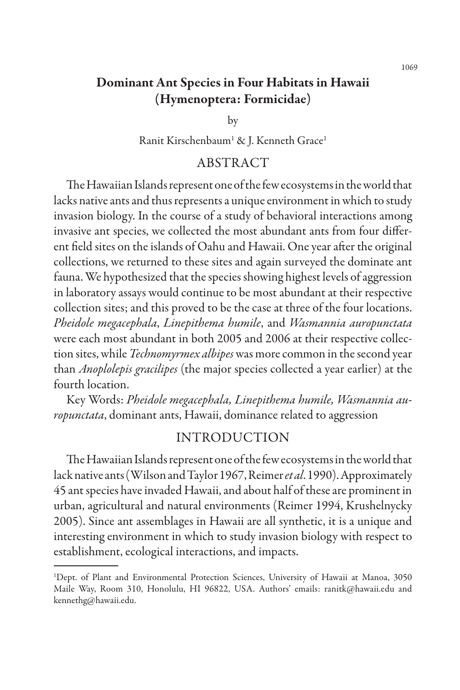# Dominant Ant Species in Four Habitats in Hawaii (Hymenoptera: Formicidae)

by

Ranit Kirschenbaum<sup>1</sup> & J. Kenneth Grace<sup>1</sup>

### ABSTRACT

The Hawaiian Islands represent one of the few ecosystems in the world that lacks native ants and thus represents a unique environment in which to study invasion biology. In the course of a study of behavioral interactions among invasive ant species, we collected the most abundant ants from four different field sites on the islands of Oahu and Hawaii. One year after the original collections, we returned to these sites and again surveyed the dominate ant fauna. We hypothesized that the species showing highest levels of aggression in laboratory assays would continue to be most abundant at their respective collection sites; and this proved to be the case at three of the four locations. *Pheidole megacephala*, *Linepithema humile*, and *Wasmannia auropunctata* were each most abundant in both 2005 and 2006 at their respective collection sites, while *Technomyrmex albipes* was more common in the second year than *Anoplolepis gracilipes* (the major species collected a year earlier) at the fourth location.

Key Words: *Pheidole megacephala, Linepithema humile, Wasmannia auropunctata*, dominant ants, Hawaii, dominance related to aggression

# INTRODUCTION

The Hawaiian Islands represent one of the few ecosystems in the world that lack native ants (Wilson and Taylor 1967, Reimer *et al*. 1990). Approximately 45 ant species have invaded Hawaii, and about half of these are prominent in urban, agricultural and natural environments (Reimer 1994, Krushelnycky 2005). Since ant assemblages in Hawaii are all synthetic, it is a unique and interesting environment in which to study invasion biology with respect to establishment, ecological interactions, and impacts.

1069

<sup>1</sup> Dept. of Plant and Environmental Protection Sciences, University of Hawaii at Manoa, 3050 Maile Way, Room 310, Honolulu, HI 96822, USA. Authors' emails: ranitk@hawaii.edu and kennethg@hawaii.edu.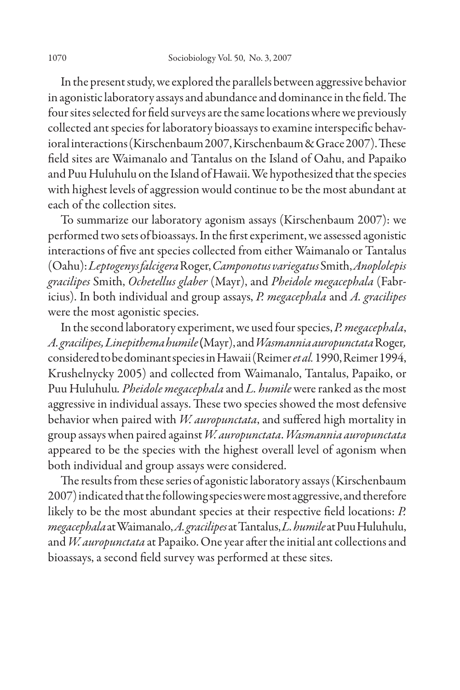In the present study, we explored the parallels between aggressive behavior in agonistic laboratory assays and abundance and dominance in the field. The four sites selected for field surveys are the same locations where we previously collected ant species for laboratory bioassays to examine interspecific behavioral interactions (Kirschenbaum 2007, Kirschenbaum & Grace 2007). These field sites are Waimanalo and Tantalus on the Island of Oahu, and Papaiko and Puu Huluhulu on the Island of Hawaii. We hypothesized that the species with highest levels of aggression would continue to be the most abundant at each of the collection sites.

To summarize our laboratory agonism assays (Kirschenbaum 2007): we performed two sets of bioassays. In the first experiment, we assessed agonistic interactions of five ant species collected from either Waimanalo or Tantalus (Oahu): *Leptogenys falcigera* Roger, *Camponotus variegatus* Smith, *Anoplolepis gracilipes* Smith, *Ochetellus glaber* (Mayr), and *Pheidole megacephala* (Fabricius). In both individual and group assays, *P. megacephala* and *A. gracilipes*  were the most agonistic species.

In the second laboratory experiment, we used four species, *P. megacephala*, *A. gracilipes, Linepithema humile* (Mayr), and *Wasmannia auropunctata* Roger*,* considered to be dominant species in Hawaii (Reimer *et al.* 1990, Reimer 1994, Krushelnycky 2005) and collected from Waimanalo, Tantalus, Papaiko, or Puu Huluhulu*. Pheidole megacephala* and *L. humile* were ranked as the most aggressive in individual assays. These two species showed the most defensive behavior when paired with *W. auropunctata*, and suffered high mortality in group assays when paired against *W. auropunctata*. *Wasmannia auropunctata* appeared to be the species with the highest overall level of agonism when both individual and group assays were considered.

The results from these series of agonistic laboratory assays (Kirschenbaum 2007) indicated that the following species were most aggressive, and therefore likely to be the most abundant species at their respective field locations: *P. megacephala* at Waimanalo, *A. gracilipes* at Tantalus, *L. humile* at Puu Huluhulu, and *W. auropunctata* at Papaiko. One year after the initial ant collections and bioassays, a second field survey was performed at these sites.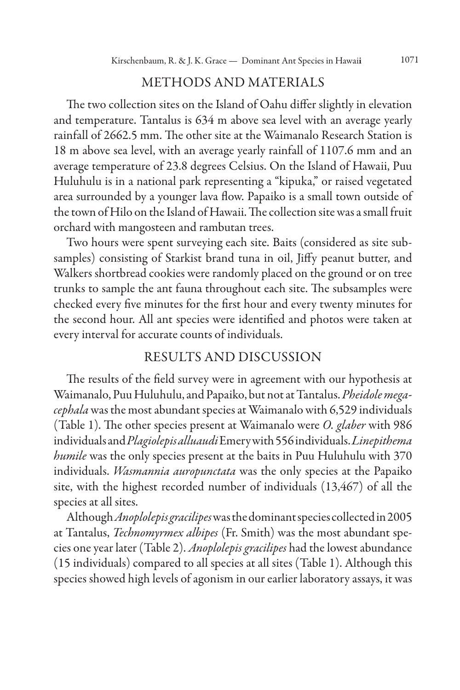## METHODS AND MATERIALS

The two collection sites on the Island of Oahu differ slightly in elevation and temperature. Tantalus is 634 m above sea level with an average yearly rainfall of 2662.5 mm. The other site at the Waimanalo Research Station is 18 m above sea level, with an average yearly rainfall of 1107.6 mm and an average temperature of 23.8 degrees Celsius. On the Island of Hawaii, Puu Huluhulu is in a national park representing a "kipuka," or raised vegetated area surrounded by a younger lava flow. Papaiko is a small town outside of the town of Hilo on the Island of Hawaii. The collection site was a small fruit orchard with mangosteen and rambutan trees.

Two hours were spent surveying each site. Baits (considered as site subsamples) consisting of Starkist brand tuna in oil, Jiffy peanut butter, and Walkers shortbread cookies were randomly placed on the ground or on tree trunks to sample the ant fauna throughout each site. The subsamples were checked every five minutes for the first hour and every twenty minutes for the second hour. All ant species were identified and photos were taken at every interval for accurate counts of individuals.

#### RESULTS AND DISCUSSION

The results of the field survey were in agreement with our hypothesis at Waimanalo, Puu Huluhulu, and Papaiko, but not at Tantalus. *Pheidole megacephala* was the most abundant species at Waimanalo with 6,529 individuals (Table 1). The other species present at Waimanalo were *O. glaber* with 986 individuals and *Plagiolepis alluaudi* Emery with 556 individuals. *Linepithema humile* was the only species present at the baits in Puu Huluhulu with 370 individuals. *Wasmannia auropunctata* was the only species at the Papaiko site, with the highest recorded number of individuals (13,467) of all the species at all sites.

Although *Anoplolepis gracilipes* was the dominant species collected in 2005 at Tantalus, *Technomyrmex albipes* (Fr. Smith) was the most abundant species one year later (Table 2). *Anoplolepis gracilipes* had the lowest abundance (15 individuals) compared to all species at all sites (Table 1). Although this species showed high levels of agonism in our earlier laboratory assays, it was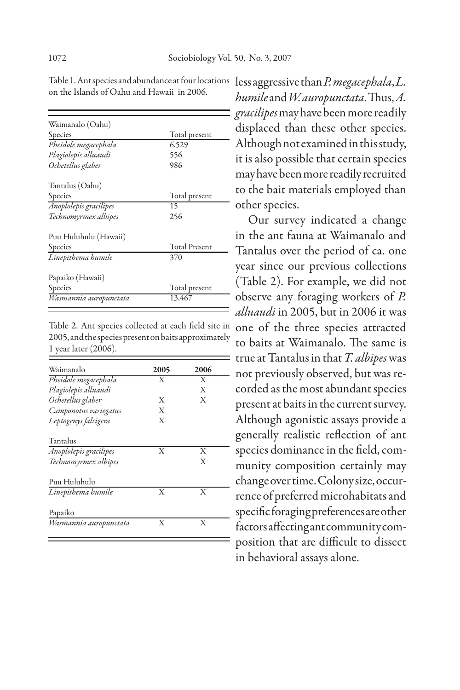| Waimanalo (Oahu)       |                      |  |
|------------------------|----------------------|--|
| Species                | Total present        |  |
| Pheidole megacephala   | 6,529                |  |
| Plagiolepis alluaudi   | 556                  |  |
| Ochetellus glaber      | 986                  |  |
| Tantalus (Oahu)        |                      |  |
| Species                | Total present        |  |
| Anoplolepis gracilipes | 15                   |  |
| Technomyrmex albipes   | 256                  |  |
| Puu Huluhulu (Hawaii)  |                      |  |
| Species                | <b>Total Present</b> |  |
| Linepithema humile     | 370                  |  |
| Papaiko (Hawaii)       |                      |  |
| Species                | Total present        |  |
| Wasmannia auropunctata | 13.467               |  |

on the Islands of Oahu and Hawaii in 2006.

Table 2. Ant species collected at each field site in 2005, and the species present on baits approximately 1 year later (2006).  $=$ 

| Waimanalo              | 2005                    | 2006                    |
|------------------------|-------------------------|-------------------------|
| Pheidole megacephala   | $\overline{\mathrm{x}}$ | $\overline{\mathrm{x}}$ |
| Plagiolepis alluaudi   |                         | X                       |
| Ochetellus glaber      | X                       | Х                       |
| Camponotus variegatus  | X                       |                         |
| Leptogenys falcigera   | X                       |                         |
| Tantalus               |                         |                         |
| Anoplolepis gracilipes | X                       | X                       |
| Technomyrmex albipes   |                         | X                       |
| Puu Huluhulu           |                         |                         |
| Linepithema humile     | X                       | X                       |
| Papaiko                |                         |                         |
| Wasmannia auropunctata | X                       | X                       |

Table 1. Ant species and abundance at four locations less aggressive than *P. megacephala*, *L*. *humile* and *W. auropunctata*. Thus, *A. gracilipes* may have been more readily displaced than these other species. Although not examined in this study, it is also possible that certain species may have been more readily recruited to the bait materials employed than other species.

> Our survey indicated a change in the ant fauna at Waimanalo and Tantalus over the period of ca. one year since our previous collections (Table 2). For example, we did not observe any foraging workers of *P. alluaudi* in 2005, but in 2006 it was one of the three species attracted to baits at Waimanalo. The same is true at Tantalus in that *T. albipes* was - not previously observed, but was recorded as the most abundant species present at baits in the current survey. Although agonistic assays provide a generally realistic reflection of ant species dominance in the field, community composition certainly may change over time. Colony size, occurrence of preferred microhabitats and specific foraging preferences are other factors affecting ant community composition that are difficult to dissect in behavioral assays alone.